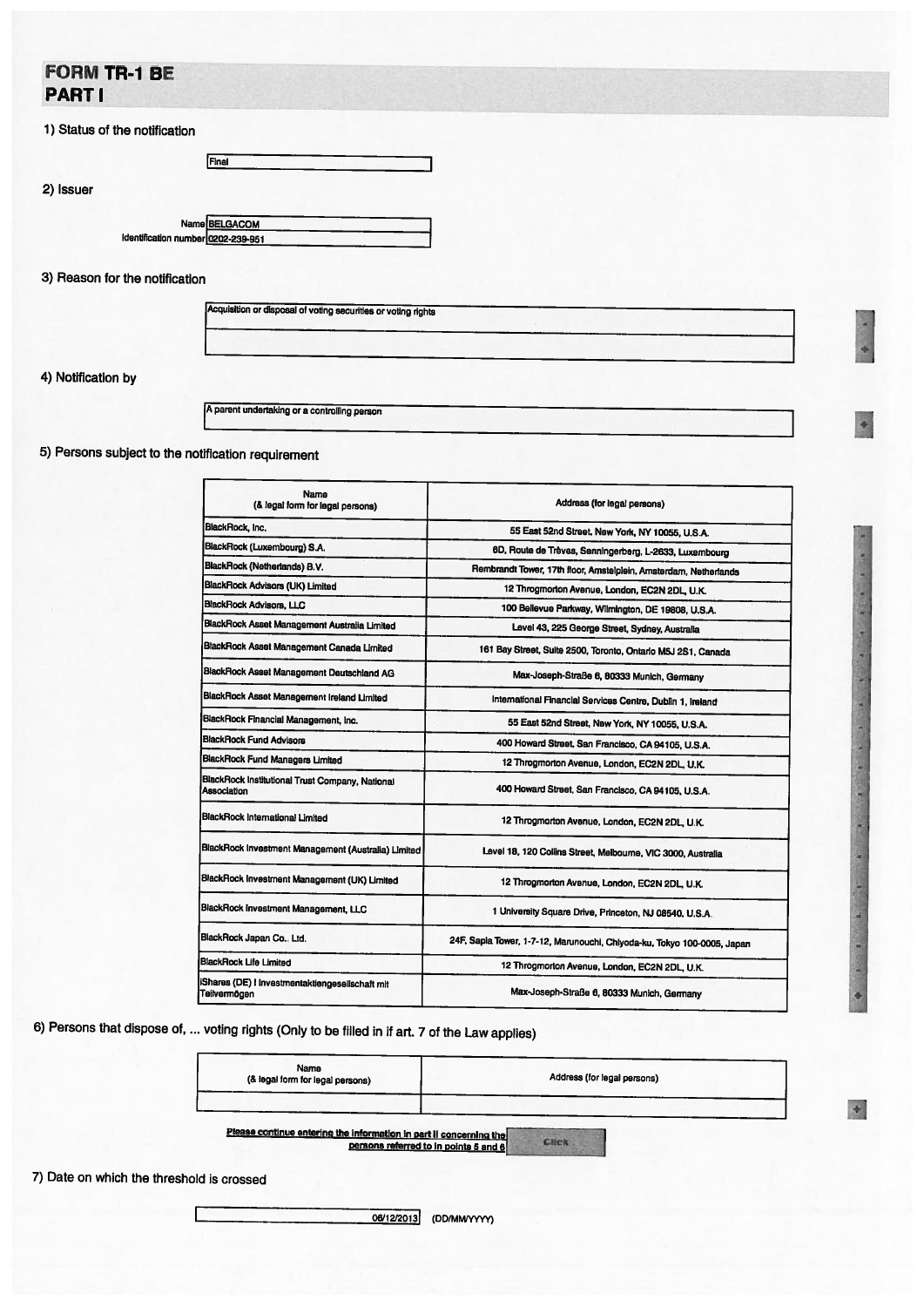## FORM TR-1 BE PART I

|  |  |  |  | 1) Status of the notification |  |
|--|--|--|--|-------------------------------|--|
|--|--|--|--|-------------------------------|--|

|                                                     | Final |  |
|-----------------------------------------------------|-------|--|
|                                                     |       |  |
|                                                     |       |  |
|                                                     |       |  |
| Name BELGACOM<br>Identification number 0202-239-951 |       |  |

## 3) Reason for the notification

4) Notification by

2) Issuer

<sup>A</sup> parent undertaking or <sup>a</sup> controlling person

5) Persons subject to the notification requirement

| Name<br>(& legal form for legal persons)                       | Address (for legal persons)                                             |
|----------------------------------------------------------------|-------------------------------------------------------------------------|
| BlackRock, Inc.                                                | 55 East 52nd Street, New York, NY 10055, U.S.A.                         |
| BlackRock (Luxembourg) S.A.                                    | 6D, Route de Trèves, Senningerberg, L-2633, Luxembourg                  |
| BlackRock (Netherlands) B.V.                                   | Rembrandt Tower, 17th floor, Amstelplein, Amsterdam, Netherlands        |
| BlackRock Advisors (UK) Limited                                | 12 Throgmorton Avenue, London, EC2N 2DL, U.K.                           |
| BlackRock Advisors, LLC                                        | 100 Bellevue Parkway, Wilmington, DE 19808, U.S.A.                      |
| BlackRock Asset Management Australia Limited                   | Level 43, 225 George Street, Sydney, Australia                          |
| BlackRock Asset Management Canada Limited                      | 161 Bay Street, Suite 2500, Toronto, Ontario M5J 2S1, Canada            |
| BlackRock Asset Management Deutschland AG                      | Max-Joseph-Straße 6, 80333 Munich, Germany                              |
| BlackRock Asset Management Ireland Limited                     | International Financial Services Centre, Dublin 1, Ireland              |
| BlackRock Financial Management, Inc.                           | 55 East 52nd Street, New York, NY 10055, U.S.A.                         |
| <b>BlackRock Fund Advisors</b>                                 | 400 Howard Street, San Francisco, CA 94105, U.S.A.                      |
| <b>BlackRock Fund Managers Limited</b>                         | 12 Throgmorton Avenue, London, EC2N 2DL, U.K.                           |
| BlackRock Institutional Trust Company, National<br>Association | 400 Howard Street, San Francisco, CA 94105, U.S.A.                      |
| <b>BlackRock International Limited</b>                         | 12 Throgmorton Avenue, London, EC2N 2DL, U.K.                           |
| BlackRock Investment Management (Australia) Limited            | Level 18, 120 Collins Street, Melbourne, VIC 3000, Australia            |
| BlackRock Investment Management (UK) Limited                   | 12 Throgmorton Avenue, London, EC2N 2DL, U.K.                           |
| BlackRock Investment Management, LLC                           | 1 University Square Drive, Princeton, NJ 08540, U.S.A.                  |
| BlackRock Japan Co., Ltd.                                      | 24F, Sapia Tower, 1-7-12, Marunouchi, Chiyoda-ku, Tokyo 100-0005, Japan |
| BlackRock Life Limited                                         | 12 Throgmorton Avenue, London, EC2N 2DL, U.K.                           |
| Shares (DE) I Investmentaktiengesellschaft mit<br>Teilvermögen | Max-Joseph-Straße 6, 80333 Munich, Germany                              |

6) Persons that dispose of, ... voting rights (Only to be filled in if art. <sup>7</sup> of the Law applies)

| Name<br>(& legal form for legal persons) | Address (for legal persons) |  |  |  |
|------------------------------------------|-----------------------------|--|--|--|
|                                          |                             |  |  |  |

 $\left| \cdot \right|$ 

Please continue entering the Information In part II concerning the Click

7) Date on which the threshold is crossed

06/12/2013 (DD/MM/YYYY)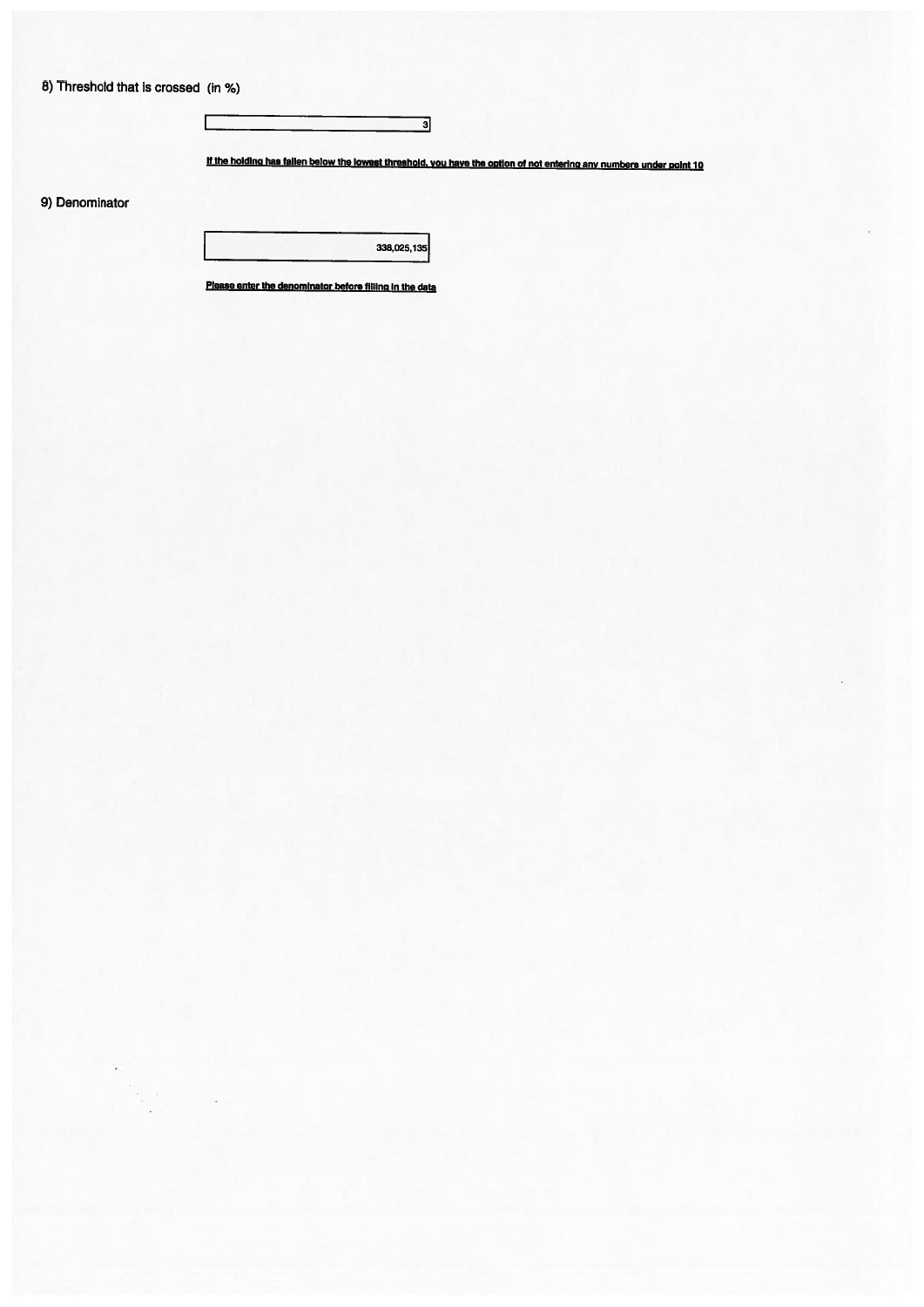8) Threshold that is crossed (in %)

I

If the holding has fallen below the lowest threshold, you have the option of not entering any numbers under point 10

 $\overline{\mathsf{a}}$ 

9) Denominator

338,025,135

Please enter the denominator before filling in the data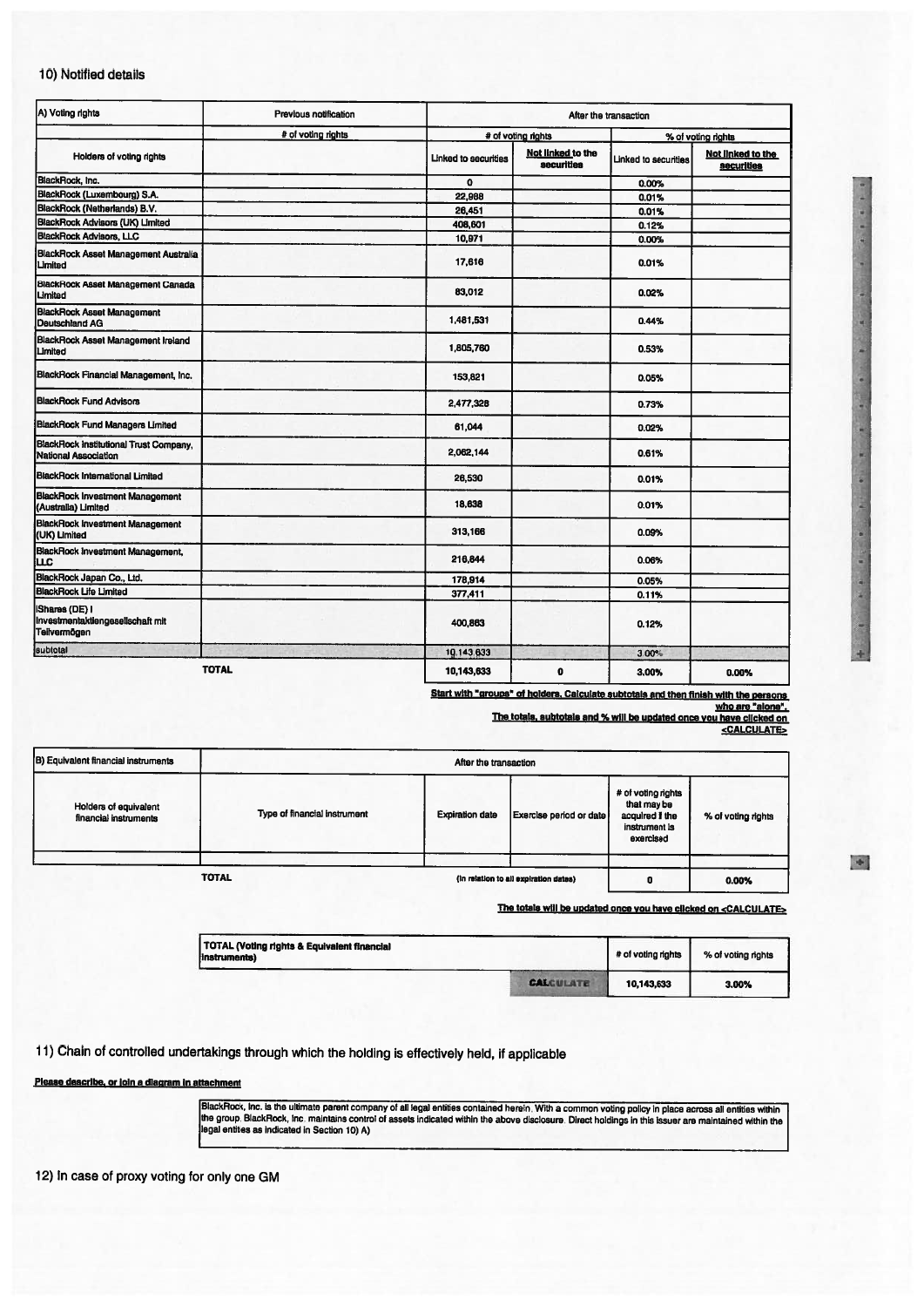## 10) Notified details

| A) Voting rights                                                      | Previous notification |                      |                                 | After the transaction |                                 |
|-----------------------------------------------------------------------|-----------------------|----------------------|---------------------------------|-----------------------|---------------------------------|
|                                                                       | # of voting rights    |                      | # of voting rights              | % of voting rights    |                                 |
| Holders of voting rights                                              |                       | Linked to securities | Not linked to the<br>securities | Linked to securities  | Not linked to the<br>securities |
| BlackRock, Inc.                                                       |                       | $\mathbf{o}$         |                                 | 0.00%                 |                                 |
| BlackRock (Luxembourg) S.A.                                           |                       | 22,988               |                                 | 0.01%                 |                                 |
| BlackRock (Netherlands) B.V.                                          |                       | 26,451               |                                 | 0.01%                 |                                 |
| BlackRock Advisors (UK) Limited                                       |                       | 408,601              |                                 | 0.12%                 |                                 |
| <b>BlackRock Advisors, LLC</b>                                        |                       | 10,971               |                                 | 0.00%                 |                                 |
| BlackRock Asset Management Australia<br>Limited                       |                       | 17,616               |                                 | 0.01%                 |                                 |
| <b>BlackRock Asset Management Canada</b><br>Limited                   |                       | 83,012               |                                 | 0.02%                 |                                 |
| <b>BlackRock Asset Management</b><br>Deutschland AG                   |                       | 1,481,531            |                                 | 0.44%                 |                                 |
| BlackRock Asset Management Ireland<br>Limited                         |                       | 1,805,760            |                                 | 0.53%                 |                                 |
| BlackRock Financial Management, Inc.                                  |                       | 153,821              |                                 | 0.05%                 |                                 |
| <b>BlackRock Fund Advisors</b>                                        |                       | 2,477,328            |                                 | 0.73%                 |                                 |
| <b>BlackRock Fund Managers Limited</b>                                |                       | 61,044               |                                 | 0.02%                 |                                 |
| <b>BlackRock Institutional Trust Company.</b><br>National Association |                       | 2,062,144            |                                 | 0.61%                 |                                 |
| <b>BlackRock International Limited</b>                                |                       | 26,530               |                                 | 0.01%                 |                                 |
| <b>BlackRock Investment Management</b><br>(Australia) Limited         |                       | 18,638               |                                 | 0.01%                 |                                 |
| <b>BlackRock Investment Management</b><br>(UK) Limited                |                       | 313,166              |                                 | 0.09%                 |                                 |
| BlackRock Investment Management,<br>luc                               |                       | 216,844              |                                 | 0.06%                 |                                 |
| BlackRock Japan Co., Ltd.                                             |                       | 178,914              |                                 | 0.05%                 |                                 |
| <b>BlackRock Life Limited</b>                                         |                       | 377.411              |                                 | 0.11%                 |                                 |
| Shares (DE) I<br>Investmentaktiengesellschaft mit<br>Teilvermögen     |                       | 400,863              |                                 | 0.12%                 |                                 |
| subtotal                                                              |                       | 10.143.633           |                                 | 3.00%                 |                                 |
| <b>TOTAL</b>                                                          |                       | 10,143,633           | $\mathbf 0$                     | 3.00%                 | 0.00%                           |

Start with "groups" of holders, Calculate subtotals and then finish with the persons<br>The totals, subtotals and % will be updated once you have clicked on<br>CALCULATE>

| B) Equivalent financial instruments            |                              | After the transaction  |                                       |                                                                                    |                    |
|------------------------------------------------|------------------------------|------------------------|---------------------------------------|------------------------------------------------------------------------------------|--------------------|
| Holders of equivalent<br>financial instruments | Type of financial instrument | <b>Expiration date</b> | Exercise period or date               | # of voting rights<br>that may be<br>acquired if the<br>instrument is<br>exercised | % of voting rights |
|                                                |                              |                        |                                       |                                                                                    |                    |
|                                                | <b>TOTAL</b>                 |                        | (in relation to all expiration dates) | o                                                                                  | 0.00%              |

The totals will be updated once you have clicked on <CALCULATE>

| TOTAL (Voting rights & Equivalent financial<br>linstruments) |                  | # of voting rights | % of voting rights |
|--------------------------------------------------------------|------------------|--------------------|--------------------|
|                                                              | <b>CALCULATE</b> | 10,143,633         | 3.00%              |

11) Chain of controlled undertakings through which the holding is effectively held, if applicable

Please describe, or join a diagram in attachment

BlackRock, Inc. is the ultimate parent company of all legal entities contained herein. With a common voting policy in place across all entities within<br>the group, BlackRock, Inc. maintains control of assets indicated within

12) In case of proxy voting for only one GM

g

E.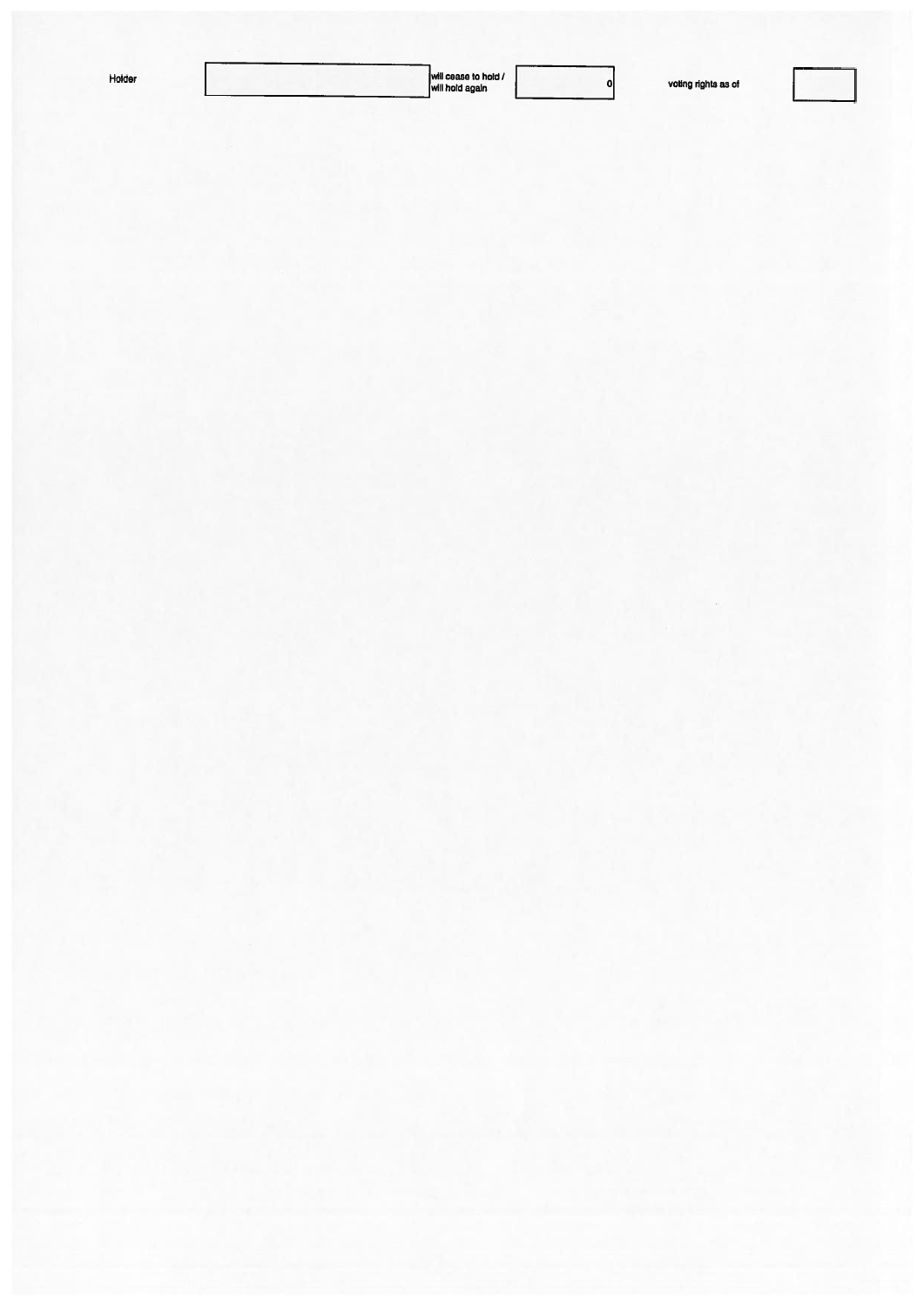| Holder |  |  |
|--------|--|--|
|        |  |  |

 $\overline{\phantom{0}}$